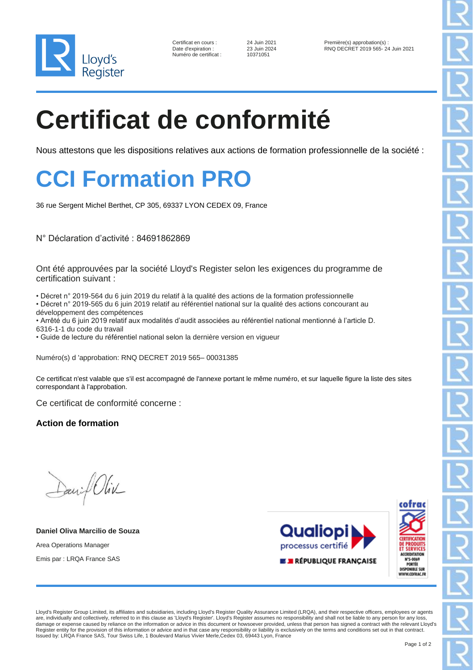

10371051

24 Juin 2021 Première(s) approbation(s) :<br>23 Juin 2024 RNQ DECRET 2019 565-2 RNQ DECRET 2019 565- 24 Juin 2021

# **Certificat de conformité**

Nous attestons que les dispositions relatives aux actions de formation professionnelle de la société :

### **CCI Formation PRO**

36 rue Sergent Michel Berthet, CP 305, 69337 LYON CEDEX 09, France

N° Déclaration d'activité : 84691862869

Ont été approuvées par la société Lloyd's Register selon les exigences du programme de certification suivant :

• Décret n° 2019-564 du 6 juin 2019 du relatif à la qualité des actions de la formation professionnelle

• Décret n° 2019-565 du 6 juin 2019 relatif au référentiel national sur la qualité des actions concourant au développement des compétences

• Arrêté du 6 juin 2019 relatif aux modalités d'audit associées au référentiel national mentionné à l'article D. 6316-1-1 du code du travail

• Guide de lecture du référentiel national selon la dernière version en vigueur

Numéro(s) d 'approbation: RNQ DECRET 2019 565– 00031385

Ce certificat n'est valable que s'il est accompagné de l'annexe portant le même numéro, et sur laquelle figure la liste des sites correspondant à l'approbation.

Ce certificat de conformité concerne :

**Action de formation**

Daniel Oliv

**Daniel Oliva Marcilio de Souza** Area Operations Manager Emis par : LRQA France SAS





Lloyd's Register Group Limited, its affiliates and subsidiaries, including Lloyd's Register Quality Assurance Limited (LRQA), and their respective officers, employees or agents are, individually and collectively, referred to in this clause as 'Lloyd's Register'. Lloyd's Register assumes no responsibility and shall not be liable to any person for any loss, damage or expense caused by reliance on the information or advice in this document or howsoever provided, unless that person has signed a contract with the relevant Lloyd's Register entity for the provision of this information or advice and in that case any responsibility or liability is exclusively on the terms and conditions set out in that contract. Issued by: LRQA France SAS, Tour Swiss Life, 1 Boulevard Marius Vivier Merle,Cedex 03, 69443 Lyon, France